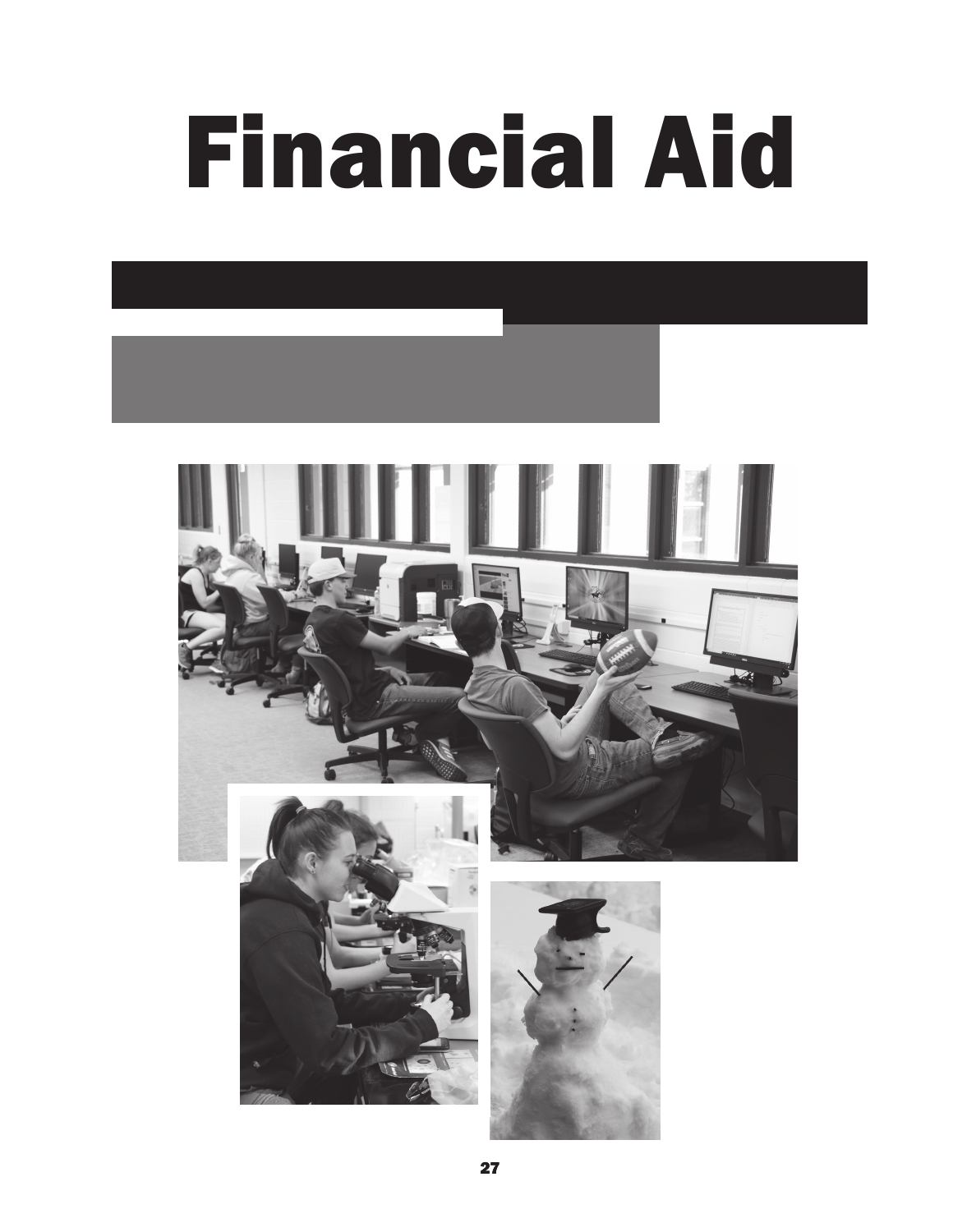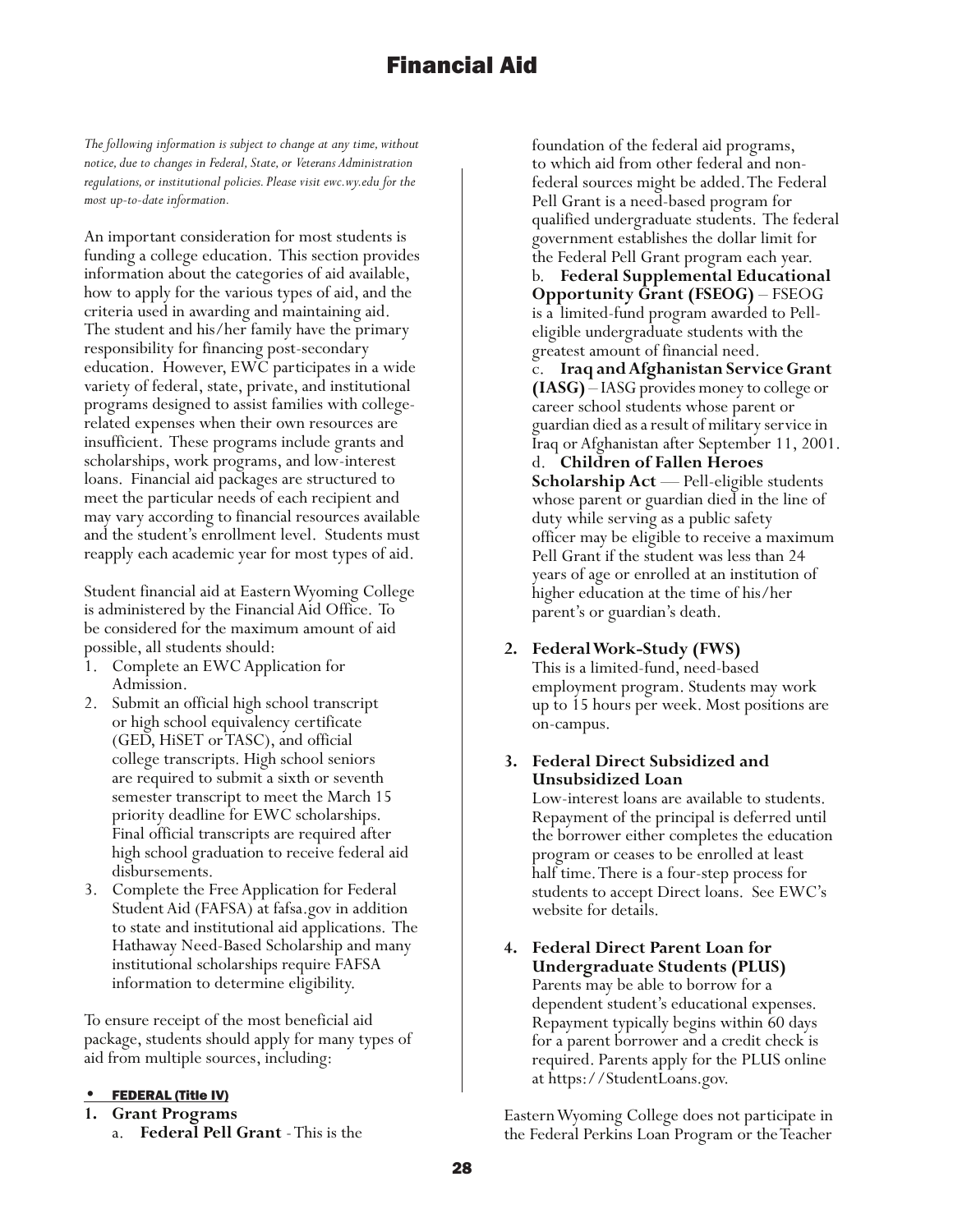*The following information is subject to change at any time, without notice, due to changes in Federal, State, or Veterans Administration regulations, or institutional policies. Please visit ewc.wy.edu for the most up-to-date information.*

An important consideration for most students is funding a college education. This section provides information about the categories of aid available, how to apply for the various types of aid, and the criteria used in awarding and maintaining aid. The student and his/her family have the primary responsibility for financing post-secondary education. However, EWC participates in a wide variety of federal, state, private, and institutional programs designed to assist families with collegerelated expenses when their own resources are insufficient. These programs include grants and scholarships, work programs, and low-interest loans. Financial aid packages are structured to meet the particular needs of each recipient and may vary according to financial resources available and the student's enrollment level. Students must reapply each academic year for most types of aid.

Student financial aid at Eastern Wyoming College is administered by the Financial Aid Office. To be considered for the maximum amount of aid possible, all students should:

- 1. Complete an EWC Application for Admission.
- 2. Submit an official high school transcript or high school equivalency certificate (GED, HiSET or TASC), and official college transcripts. High school seniors are required to submit a sixth or seventh semester transcript to meet the March 15 priority deadline for EWC scholarships. Final official transcripts are required after high school graduation to receive federal aid disbursements.
- 3. Complete the Free Application for Federal Student Aid (FAFSA) at fafsa.gov in addition to state and institutional aid applications. The Hathaway Need-Based Scholarship and many institutional scholarships require FAFSA information to determine eligibility.

To ensure receipt of the most beneficial aid package, students should apply for many types of aid from multiple sources, including:

#### **FEDERAL (Title IV)**

- **1. Grant Programs**
	- a. **Federal Pell Grant** This is the

foundation of the federal aid programs, to which aid from other federal and nonfederal sources might be added. The Federal Pell Grant is a need-based program for qualified undergraduate students. The federal government establishes the dollar limit for the Federal Pell Grant program each year.

b. **Federal Supplemental Educational Opportunity Grant (FSEOG)** – FSEOG is a limited-fund program awarded to Pelleligible undergraduate students with the greatest amount of financial need.

c. **Iraq and Afghanistan Service Grant (IASG)** – IASG provides money to college or career school students whose parent or guardian died as a result of military service in Iraq or Afghanistan after September 11, 2001.

d. **Children of Fallen Heroes Scholarship Act** — Pell-eligible students whose parent or guardian died in the line of duty while serving as a public safety officer may be eligible to receive a maximum Pell Grant if the student was less than 24 years of age or enrolled at an institution of higher education at the time of his/her parent's or guardian's death.

## **2. Federal Work-Study (FWS)**

This is a limited-fund, need-based employment program. Students may work up to 15 hours per week. Most positions are on-campus.

## **3. Federal Direct Subsidized and Unsubsidized Loan**

Low-interest loans are available to students. Repayment of the principal is deferred until the borrower either completes the education program or ceases to be enrolled at least half time. There is a four-step process for students to accept Direct loans. See EWC's website for details.

## **4. Federal Direct Parent Loan for Undergraduate Students (PLUS)** Parents may be able to borrow for a dependent student's educational expenses. Repayment typically begins within 60 days for a parent borrower and a credit check is required. Parents apply for the PLUS online at https://StudentLoans.gov.

Eastern Wyoming College does not participate in the Federal Perkins Loan Program or the Teacher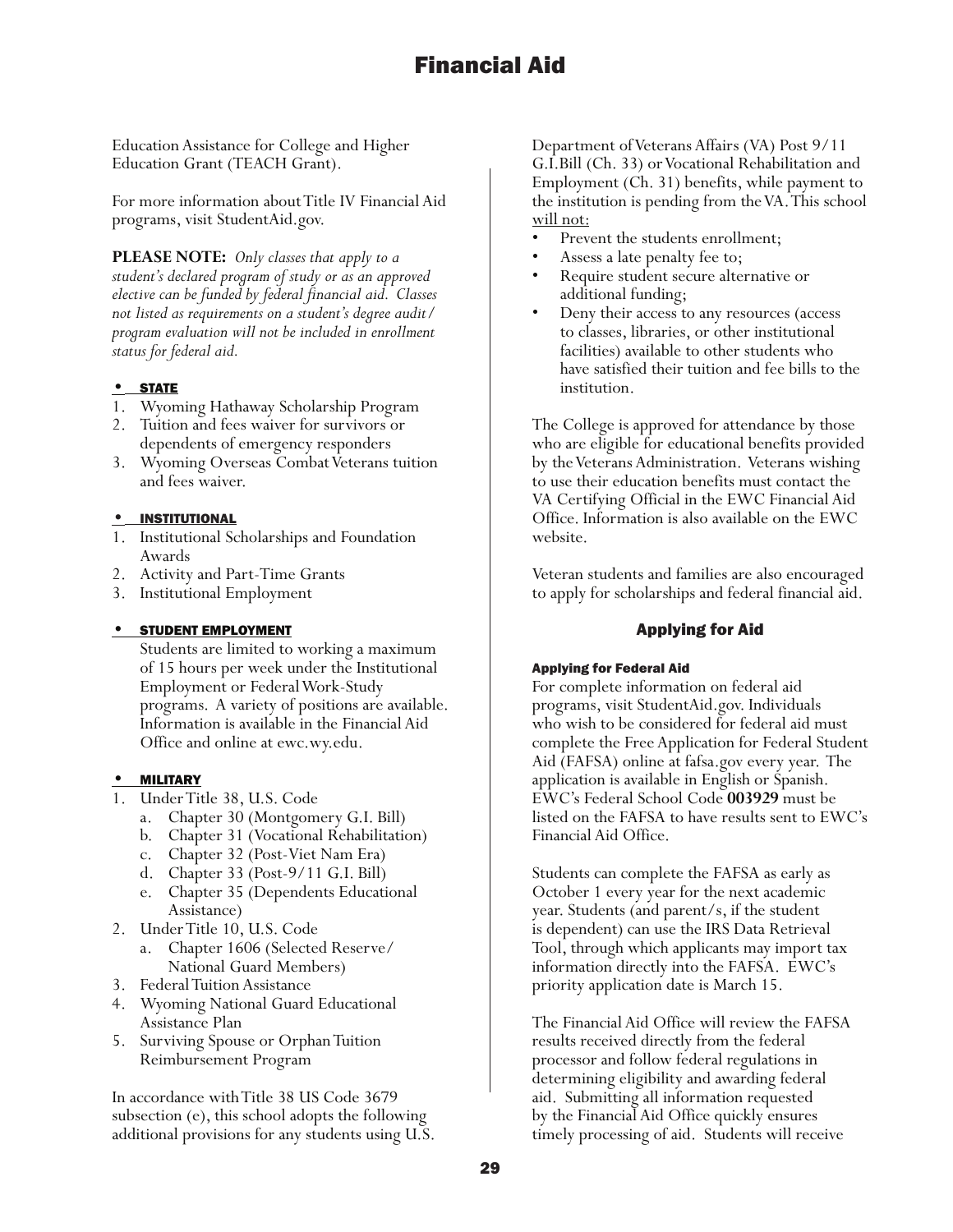Education Assistance for College and Higher Education Grant (TEACH Grant).

For more information about Title IV Financial Aid programs, visit StudentAid.gov.

**PLEASE NOTE:** *Only classes that apply to a student's declared program of study or as an approved elective can be funded by federal financial aid. Classes not listed as requirements on a student's degree audit/ program evaluation will not be included in enrollment status for federal aid.* 

## • STATE

- 1. Wyoming Hathaway Scholarship Program
- 2. Tuition and fees waiver for survivors or dependents of emergency responders
- 3. Wyoming Overseas Combat Veterans tuition and fees waiver.

## **INSTITUTIONAL**

- 1. Institutional Scholarships and Foundation Awards
- 2. Activity and Part-Time Grants
- 3. Institutional Employment

#### • STUDENT EMPLOYMENT

Students are limited to working a maximum of 15 hours per week under the Institutional Employment or Federal Work-Study programs. A variety of positions are available. Information is available in the Financial Aid Office and online at ewc.wy.edu.

#### • MILITARY

- 1. Under Title 38, U.S. Code
	- a. Chapter 30 (Montgomery G.I. Bill)
	- b. Chapter 31 (Vocational Rehabilitation)
	- c. Chapter 32 (Post-Viet Nam Era)
	- d. Chapter 33 (Post-9/11 G.I. Bill)
	- e. Chapter 35 (Dependents Educational Assistance)
- 2. Under Title 10, U.S. Code
	- a. Chapter 1606 (Selected Reserve/ National Guard Members)
- 3. Federal Tuition Assistance
- 4. Wyoming National Guard Educational Assistance Plan
- 5. Surviving Spouse or Orphan Tuition Reimbursement Program

In accordance with Title 38 US Code 3679 subsection (e), this school adopts the following additional provisions for any students using U.S.

Department of Veterans Affairs (VA) Post 9/11 G.I.Bill (Ch. 33) or Vocational Rehabilitation and Employment (Ch. 31) benefits, while payment to the institution is pending from the VA. This school will not:

- 
- 
- Prevent the students enrollment; Assess a late penalty fee to; Require student secure alternative or
- additional funding;<br>Deny their access to any resources (access to classes, libraries, or other institutional facilities) available to other students who have satisfied their tuition and fee bills to the institution.

The College is approved for attendance by those who are eligible for educational benefits provided by the Veterans Administration. Veterans wishing to use their education benefits must contact the VA Certifying Official in the EWC Financial Aid Office. Information is also available on the EWC website.

Veteran students and families are also encouraged to apply for scholarships and federal financial aid.

## Applying for Aid

#### Applying for Federal Aid

For complete information on federal aid programs, visit StudentAid.gov. Individuals who wish to be considered for federal aid must complete the Free Application for Federal Student Aid (FAFSA) online at fafsa.gov every year. The application is available in English or Spanish. EWC's Federal School Code **003929** must be listed on the FAFSA to have results sent to EWC's Financial Aid Office.

Students can complete the FAFSA as early as October 1 every year for the next academic year. Students (and parent/s, if the student is dependent) can use the IRS Data Retrieval Tool, through which applicants may import tax information directly into the FAFSA. EWC's priority application date is March 15.

The Financial Aid Office will review the FAFSA results received directly from the federal processor and follow federal regulations in determining eligibility and awarding federal aid. Submitting all information requested by the Financial Aid Office quickly ensures timely processing of aid. Students will receive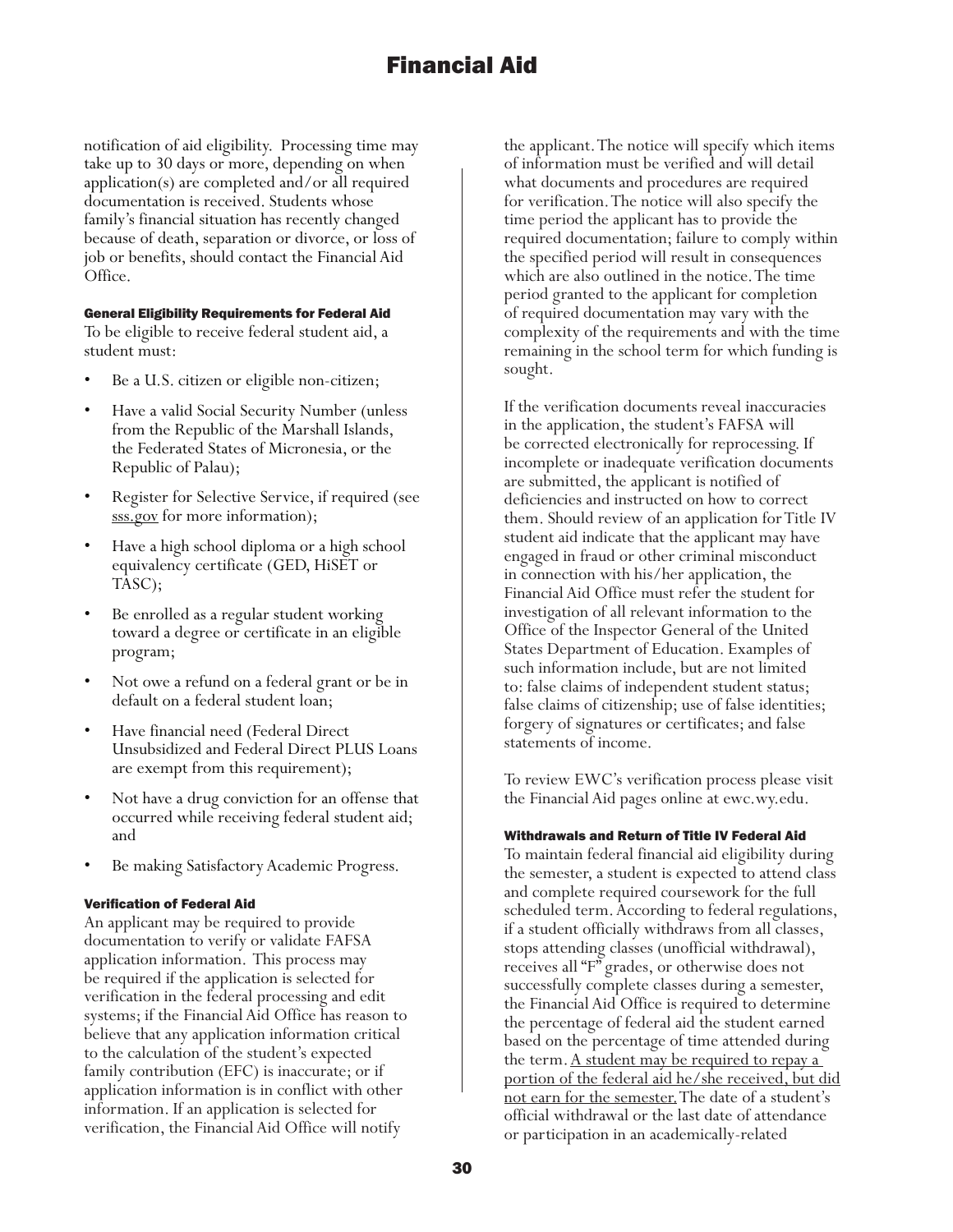notification of aid eligibility. Processing time may take up to 30 days or more, depending on when application(s) are completed and/or all required documentation is received. Students whose family's financial situation has recently changed because of death, separation or divorce, or loss of job or benefits, should contact the Financial Aid Office.

#### General Eligibility Requirements for Federal Aid

To be eligible to receive federal student aid, a student must:

- Be a U.S. citizen or eligible non-citizen;
- Have a valid Social Security Number (unless from the Republic of the Marshall Islands, the Federated States of Micronesia, or the Republic of Palau);
- Register for Selective Service, if required (see sss.gov for more information);
- Have a high school diploma or a high school equivalency certificate (GED, HiSET or TASC);
- Be enrolled as a regular student working toward a degree or certificate in an eligible program;
- Not owe a refund on a federal grant or be in default on a federal student loan;
- Have financial need (Federal Direct Unsubsidized and Federal Direct PLUS Loans are exempt from this requirement);
- Not have a drug conviction for an offense that occurred while receiving federal student aid; and
- Be making Satisfactory Academic Progress.

#### Verification of Federal Aid

An applicant may be required to provide documentation to verify or validate FAFSA application information. This process may be required if the application is selected for verification in the federal processing and edit systems; if the Financial Aid Office has reason to believe that any application information critical to the calculation of the student's expected family contribution (EFC) is inaccurate; or if application information is in conflict with other information. If an application is selected for verification, the Financial Aid Office will notify

the applicant. The notice will specify which items of information must be verified and will detail what documents and procedures are required for verification. The notice will also specify the time period the applicant has to provide the required documentation; failure to comply within the specified period will result in consequences which are also outlined in the notice. The time period granted to the applicant for completion of required documentation may vary with the complexity of the requirements and with the time remaining in the school term for which funding is sought.

If the verification documents reveal inaccuracies in the application, the student's FAFSA will be corrected electronically for reprocessing. If incomplete or inadequate verification documents are submitted, the applicant is notified of deficiencies and instructed on how to correct them. Should review of an application for Title IV student aid indicate that the applicant may have engaged in fraud or other criminal misconduct in connection with his/her application, the Financial Aid Office must refer the student for investigation of all relevant information to the Office of the Inspector General of the United States Department of Education. Examples of such information include, but are not limited to: false claims of independent student status; false claims of citizenship; use of false identities; forgery of signatures or certificates; and false statements of income.

To review EWC's verification process please visit the Financial Aid pages online at ewc.wy.edu.

#### Withdrawals and Return of Title IV Federal Aid

To maintain federal financial aid eligibility during the semester, a student is expected to attend class and complete required coursework for the full scheduled term. According to federal regulations, if a student officially withdraws from all classes, stops attending classes (unofficial withdrawal), receives all "F" grades, or otherwise does not successfully complete classes during a semester, the Financial Aid Office is required to determine the percentage of federal aid the student earned based on the percentage of time attended during the term. A student may be required to repay a portion of the federal aid he/she received, but did not earn for the semester. The date of a student's official withdrawal or the last date of attendance or participation in an academically-related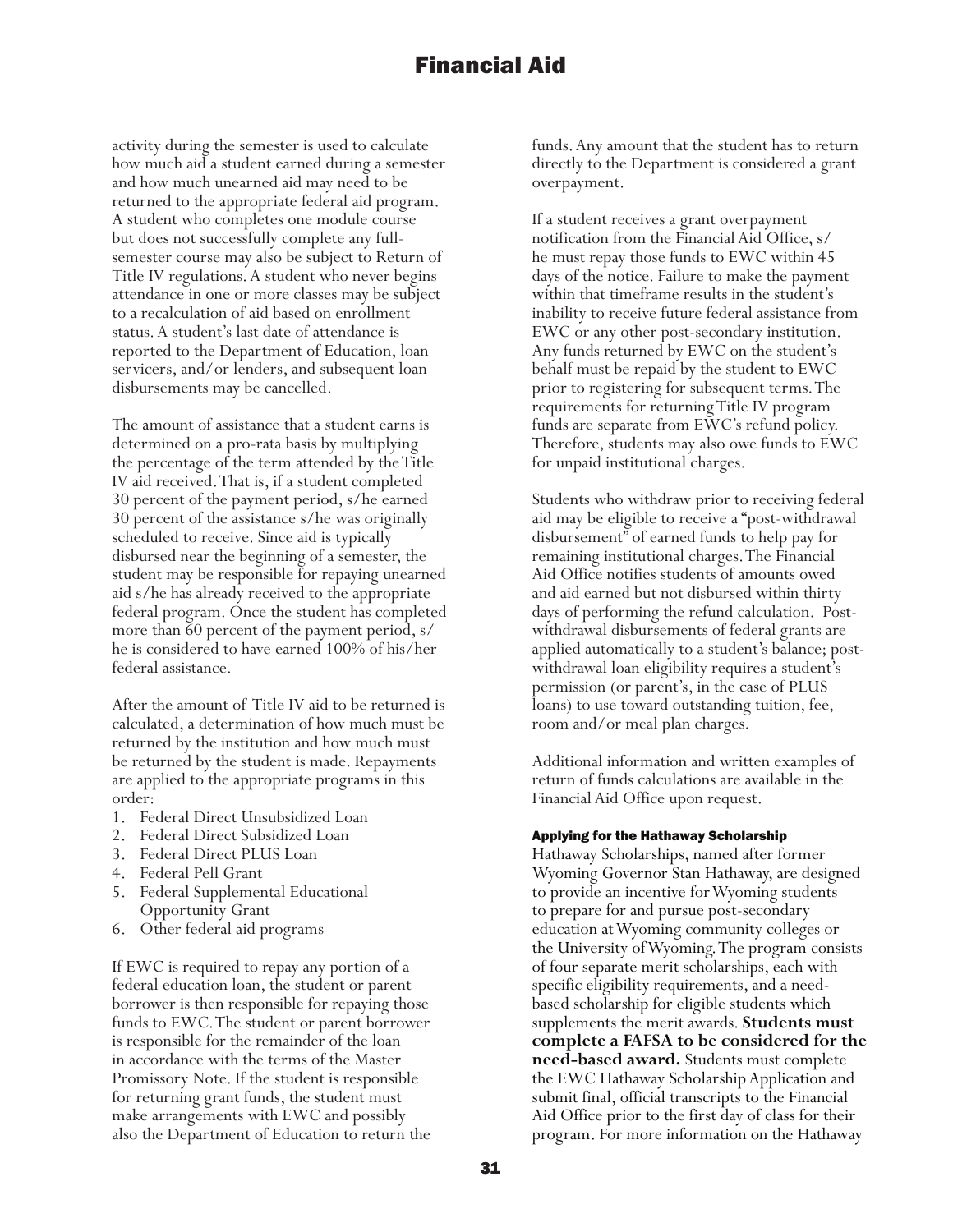activity during the semester is used to calculate how much aid a student earned during a semester and how much unearned aid may need to be returned to the appropriate federal aid program. A student who completes one module course but does not successfully complete any fullsemester course may also be subject to Return of Title IV regulations. A student who never begins attendance in one or more classes may be subject to a recalculation of aid based on enrollment status. A student's last date of attendance is reported to the Department of Education, loan servicers, and/or lenders, and subsequent loan disbursements may be cancelled.

The amount of assistance that a student earns is determined on a pro-rata basis by multiplying the percentage of the term attended by the Title IV aid received. That is, if a student completed 30 percent of the payment period, s/he earned 30 percent of the assistance s/he was originally scheduled to receive. Since aid is typically disbursed near the beginning of a semester, the student may be responsible for repaying unearned aid s/he has already received to the appropriate federal program. Once the student has completed more than 60 percent of the payment period, s/ he is considered to have earned 100% of his/her federal assistance.

After the amount of Title IV aid to be returned is calculated, a determination of how much must be returned by the institution and how much must be returned by the student is made. Repayments are applied to the appropriate programs in this order:

- 1. Federal Direct Unsubsidized Loan
- 2. Federal Direct Subsidized Loan
- 3. Federal Direct PLUS Loan
- 4. Federal Pell Grant
- 5. Federal Supplemental Educational Opportunity Grant
- 6. Other federal aid programs

If EWC is required to repay any portion of a federal education loan, the student or parent borrower is then responsible for repaying those funds to EWC. The student or parent borrower is responsible for the remainder of the loan in accordance with the terms of the Master Promissory Note. If the student is responsible for returning grant funds, the student must make arrangements with EWC and possibly also the Department of Education to return the funds. Any amount that the student has to return directly to the Department is considered a grant overpayment.

If a student receives a grant overpayment notification from the Financial Aid Office, s/ he must repay those funds to EWC within 45 days of the notice. Failure to make the payment within that timeframe results in the student's inability to receive future federal assistance from EWC or any other post-secondary institution. Any funds returned by EWC on the student's behalf must be repaid by the student to EWC prior to registering for subsequent terms. The requirements for returning Title IV program funds are separate from EWC's refund policy. Therefore, students may also owe funds to EWC for unpaid institutional charges.

Students who withdraw prior to receiving federal aid may be eligible to receive a "post-withdrawal disbursement" of earned funds to help pay for remaining institutional charges. The Financial Aid Office notifies students of amounts owed and aid earned but not disbursed within thirty days of performing the refund calculation. Postwithdrawal disbursements of federal grants are applied automatically to a student's balance; postwithdrawal loan eligibility requires a student's permission (or parent's, in the case of PLUS loans) to use toward outstanding tuition, fee, room and/or meal plan charges.

Additional information and written examples of return of funds calculations are available in the Financial Aid Office upon request.

#### Applying for the Hathaway Scholarship

Hathaway Scholarships, named after former Wyoming Governor Stan Hathaway, are designed to provide an incentive for Wyoming students to prepare for and pursue post-secondary education at Wyoming community colleges or the University of Wyoming. The program consists of four separate merit scholarships, each with specific eligibility requirements, and a needbased scholarship for eligible students which supplements the merit awards. **Students must complete a FAFSA to be considered for the need-based award.** Students must complete the EWC Hathaway Scholarship Application and submit final, official transcripts to the Financial Aid Office prior to the first day of class for their program. For more information on the Hathaway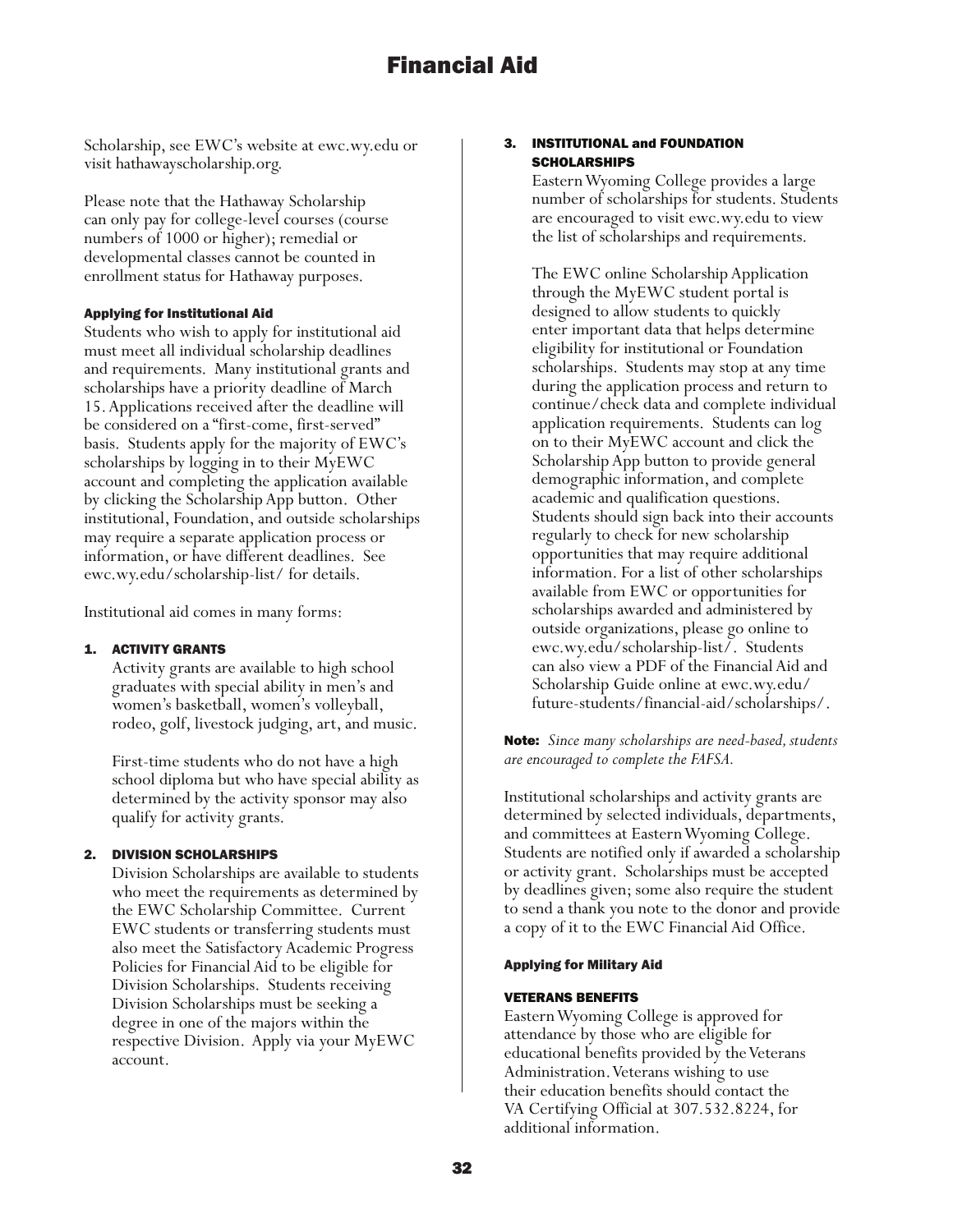Scholarship, see EWC's website at ewc.wy.edu or visit hathawayscholarship.org.

Please note that the Hathaway Scholarship can only pay for college-level courses (course numbers of 1000 or higher); remedial or developmental classes cannot be counted in enrollment status for Hathaway purposes.

#### Applying for Institutional Aid

Students who wish to apply for institutional aid must meet all individual scholarship deadlines and requirements. Many institutional grants and scholarships have a priority deadline of March 15. Applications received after the deadline will be considered on a "first-come, first-served" basis. Students apply for the majority of EWC's scholarships by logging in to their MyEWC account and completing the application available by clicking the Scholarship App button. Other institutional, Foundation, and outside scholarships may require a separate application process or information, or have different deadlines. See ewc.wy.edu/scholarship-list/ for details.

Institutional aid comes in many forms:

#### 1. ACTIVITY GRANTS

Activity grants are available to high school graduates with special ability in men's and women's basketball, women's volleyball, rodeo, golf, livestock judging, art, and music.

First-time students who do not have a high school diploma but who have special ability as determined by the activity sponsor may also qualify for activity grants.

#### 2. DIVISION SCHOLARSHIPS

Division Scholarships are available to students who meet the requirements as determined by the EWC Scholarship Committee. Current EWC students or transferring students must also meet the Satisfactory Academic Progress Policies for Financial Aid to be eligible for Division Scholarships. Students receiving Division Scholarships must be seeking a degree in one of the majors within the respective Division. Apply via your MyEWC account.

#### 3. INSTITUTIONAL and FOUNDATION **SCHOLARSHIPS**

Eastern Wyoming College provides a large number of scholarships for students. Students are encouraged to visit ewc.wy.edu to view the list of scholarships and requirements.

The EWC online Scholarship Application through the MyEWC student portal is designed to allow students to quickly enter important data that helps determine eligibility for institutional or Foundation scholarships. Students may stop at any time during the application process and return to continue/check data and complete individual application requirements. Students can log on to their MyEWC account and click the Scholarship App button to provide general demographic information, and complete academic and qualification questions. Students should sign back into their accounts regularly to check for new scholarship opportunities that may require additional information. For a list of other scholarships available from EWC or opportunities for scholarships awarded and administered by outside organizations, please go online to ewc.wy.edu/scholarship-list/. Students can also view a PDF of the Financial Aid and Scholarship Guide online at ewc.wy.edu/ future-students/financial-aid/scholarships/.

Note: *Since many scholarships are need-based, students are encouraged to complete the FAFSA.*

Institutional scholarships and activity grants are determined by selected individuals, departments, and committees at Eastern Wyoming College. Students are notified only if awarded a scholarship or activity grant. Scholarships must be accepted by deadlines given; some also require the student to send a thank you note to the donor and provide a copy of it to the EWC Financial Aid Office.

#### Applying for Military Aid

#### VETERANS BENEFITS

Eastern Wyoming College is approved for attendance by those who are eligible for educational benefits provided by the Veterans Administration. Veterans wishing to use their education benefits should contact the VA Certifying Official at 307.532.8224, for additional information.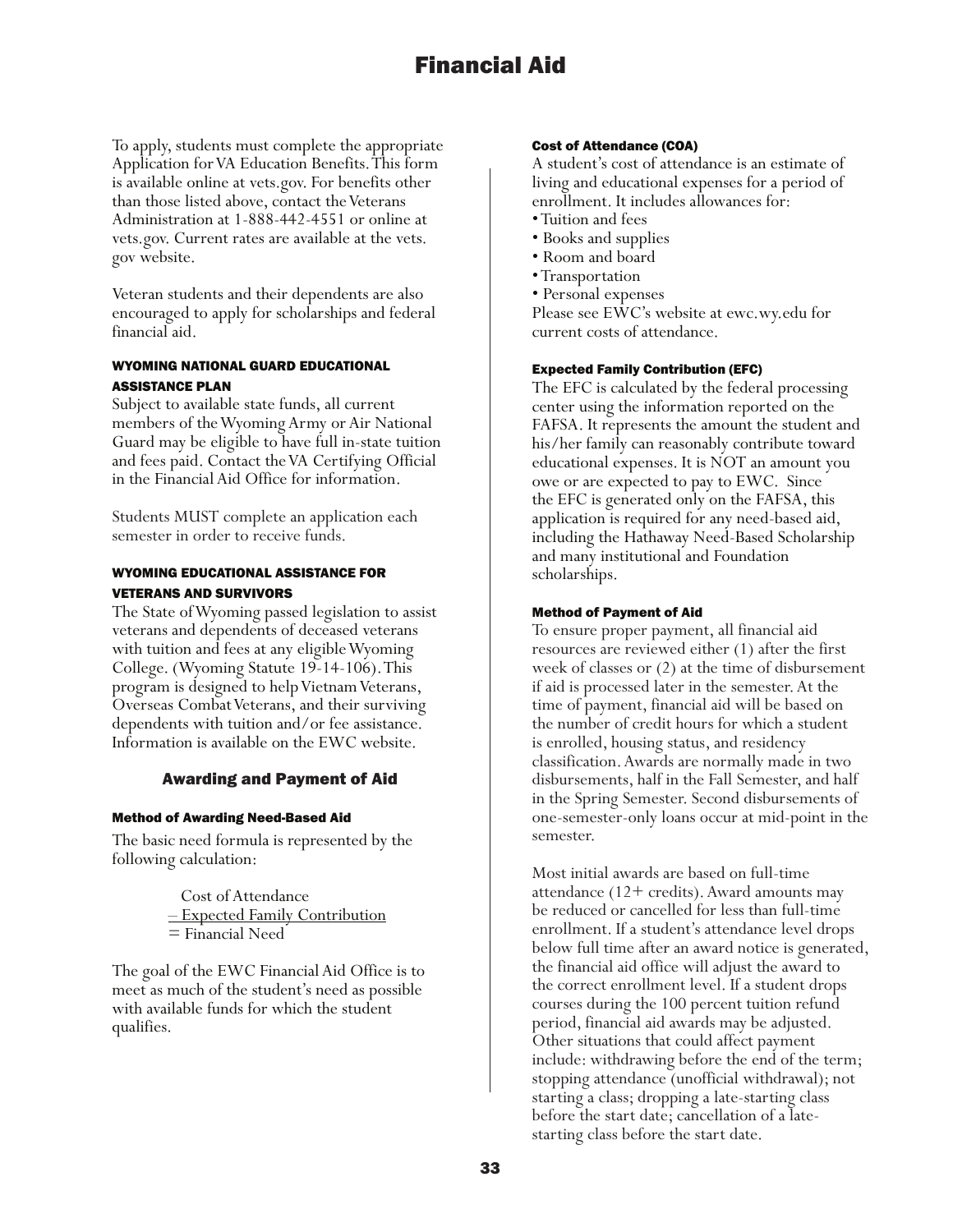To apply, students must complete the appropriate Application for VA Education Benefits. This form is available online at vets.gov. For benefits other than those listed above, contact the Veterans Administration at 1-888-442-4551 or online at vets.gov. Current rates are available at the vets. gov website.

Veteran students and their dependents are also encouraged to apply for scholarships and federal financial aid.

#### WYOMING NATIONAL GUARD EDUCATIONAL ASSISTANCE PLAN

Subject to available state funds, all current members of the Wyoming Army or Air National Guard may be eligible to have full in-state tuition and fees paid. Contact the VA Certifying Official in the Financial Aid Office for information.

Students MUST complete an application each semester in order to receive funds.

#### WYOMING EDUCATIONAL ASSISTANCE FOR VETERANS AND SURVIVORS

The State of Wyoming passed legislation to assist veterans and dependents of deceased veterans with tuition and fees at any eligible Wyoming College. (Wyoming Statute 19-14-106). This program is designed to help Vietnam Veterans, Overseas Combat Veterans, and their surviving dependents with tuition and/or fee assistance. Information is available on the EWC website.

## Awarding and Payment of Aid

#### Method of Awarding Need-Based Aid

The basic need formula is represented by the following calculation:

> Cost of Attendance – Expected Family Contribution = Financial Need

The goal of the EWC Financial Aid Office is to meet as much of the student's need as possible with available funds for which the student qualifies.

#### Cost of Attendance (COA)

A student's cost of attendance is an estimate of living and educational expenses for a period of enrollment. It includes allowances for:

- Tuition and fees
- Books and supplies
- Room and board
- Transportation
- Personal expenses

Please see EWC's website at ewc.wy.edu for current costs of attendance.

#### Expected Family Contribution (EFC)

The EFC is calculated by the federal processing center using the information reported on the FAFSA. It represents the amount the student and his/her family can reasonably contribute toward educational expenses. It is NOT an amount you owe or are expected to pay to EWC. Since the EFC is generated only on the FAFSA, this application is required for any need-based aid, including the Hathaway Need-Based Scholarship and many institutional and Foundation scholarships.

#### Method of Payment of Aid

To ensure proper payment, all financial aid resources are reviewed either (1) after the first week of classes or (2) at the time of disbursement if aid is processed later in the semester. At the time of payment, financial aid will be based on the number of credit hours for which a student is enrolled, housing status, and residency classification. Awards are normally made in two disbursements, half in the Fall Semester, and half in the Spring Semester. Second disbursements of one-semester-only loans occur at mid-point in the semester.

Most initial awards are based on full-time attendance (12+ credits). Award amounts may be reduced or cancelled for less than full-time enrollment. If a student's attendance level drops below full time after an award notice is generated, the financial aid office will adjust the award to the correct enrollment level. If a student drops courses during the 100 percent tuition refund period, financial aid awards may be adjusted. Other situations that could affect payment include: withdrawing before the end of the term; stopping attendance (unofficial withdrawal); not starting a class; dropping a late-starting class before the start date; cancellation of a latestarting class before the start date.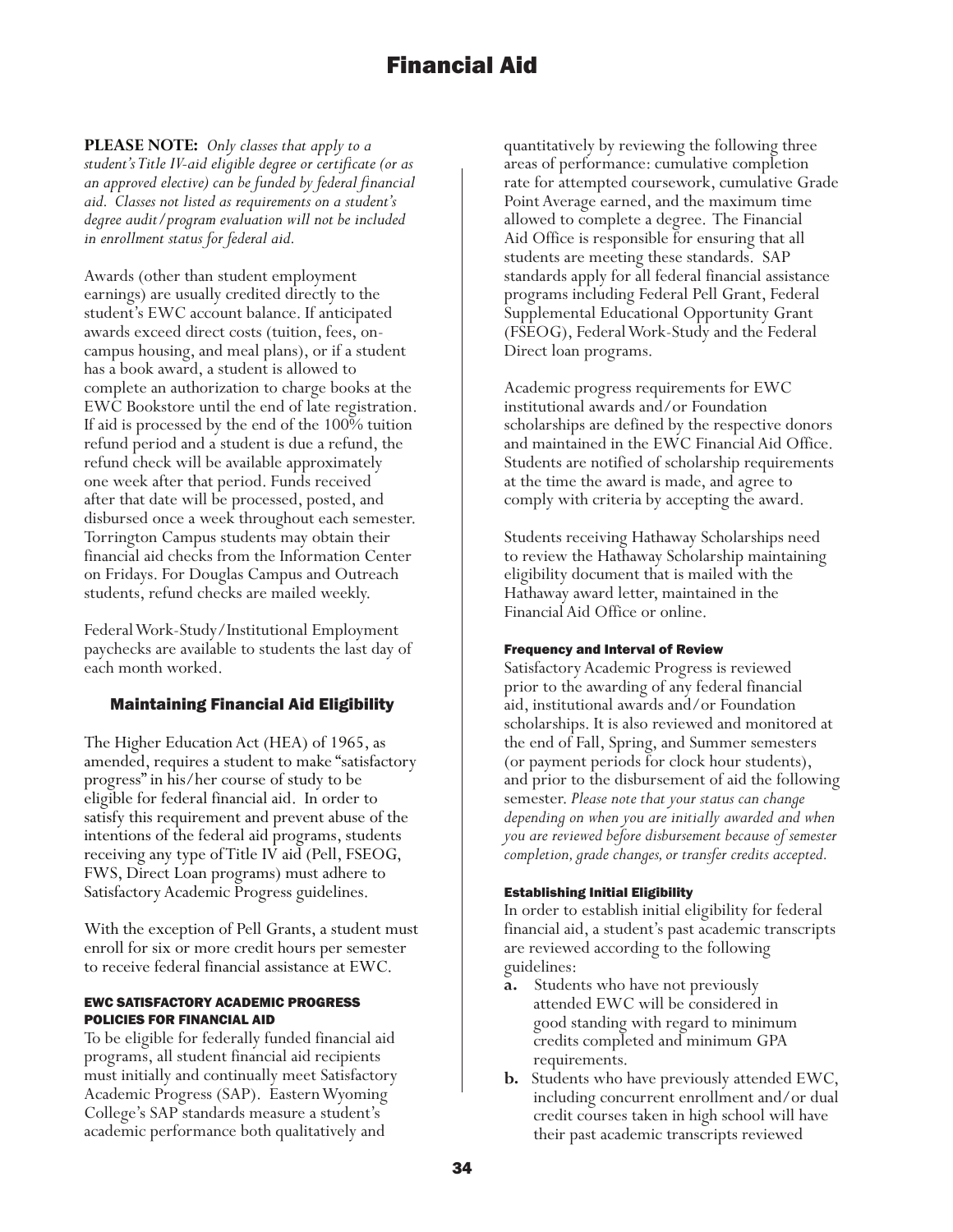**PLEASE NOTE:** *Only classes that apply to a student's Title IV-aid eligible degree or certificate (or as an approved elective) can be funded by federal financial aid. Classes not listed as requirements on a student's degree audit/program evaluation will not be included in enrollment status for federal aid.* 

Awards (other than student employment earnings) are usually credited directly to the student's EWC account balance. If anticipated awards exceed direct costs (tuition, fees, oncampus housing, and meal plans), or if a student has a book award, a student is allowed to complete an authorization to charge books at the EWC Bookstore until the end of late registration. If aid is processed by the end of the 100% tuition refund period and a student is due a refund, the refund check will be available approximately one week after that period. Funds received after that date will be processed, posted, and disbursed once a week throughout each semester. Torrington Campus students may obtain their financial aid checks from the Information Center on Fridays. For Douglas Campus and Outreach students, refund checks are mailed weekly.

Federal Work-Study/Institutional Employment paychecks are available to students the last day of each month worked.

## Maintaining Financial Aid Eligibility

The Higher Education Act (HEA) of 1965, as amended, requires a student to make "satisfactory progress" in his/her course of study to be eligible for federal financial aid. In order to satisfy this requirement and prevent abuse of the intentions of the federal aid programs, students receiving any type of Title IV aid (Pell, FSEOG, FWS, Direct Loan programs) must adhere to Satisfactory Academic Progress guidelines.

With the exception of Pell Grants, a student must enroll for six or more credit hours per semester to receive federal financial assistance at EWC.

#### EWC SATISFACTORY ACADEMIC PROGRESS POLICIES FOR FINANCIAL AID

To be eligible for federally funded financial aid programs, all student financial aid recipients must initially and continually meet Satisfactory Academic Progress (SAP). Eastern Wyoming College's SAP standards measure a student's academic performance both qualitatively and

quantitatively by reviewing the following three areas of performance: cumulative completion rate for attempted coursework, cumulative Grade Point Average earned, and the maximum time allowed to complete a degree. The Financial Aid Office is responsible for ensuring that all students are meeting these standards. SAP standards apply for all federal financial assistance programs including Federal Pell Grant, Federal Supplemental Educational Opportunity Grant (FSEOG), Federal Work-Study and the Federal Direct loan programs.

Academic progress requirements for EWC institutional awards and/or Foundation scholarships are defined by the respective donors and maintained in the EWC Financial Aid Office. Students are notified of scholarship requirements at the time the award is made, and agree to comply with criteria by accepting the award.

Students receiving Hathaway Scholarships need to review the Hathaway Scholarship maintaining eligibility document that is mailed with the Hathaway award letter, maintained in the Financial Aid Office or online.

#### Frequency and Interval of Review

Satisfactory Academic Progress is reviewed prior to the awarding of any federal financial aid, institutional awards and/or Foundation scholarships. It is also reviewed and monitored at the end of Fall, Spring, and Summer semesters (or payment periods for clock hour students), and prior to the disbursement of aid the following semester. *Please note that your status can change depending on when you are initially awarded and when you are reviewed before disbursement because of semester completion, grade changes, or transfer credits accepted.*

#### Establishing Initial Eligibility

In order to establish initial eligibility for federal financial aid, a student's past academic transcripts are reviewed according to the following guidelines:

- **a.** Students who have not previously attended EWC will be considered in good standing with regard to minimum credits completed and minimum GPA requirements.
- **b.** Students who have previously attended EWC, including concurrent enrollment and/or dual credit courses taken in high school will have their past academic transcripts reviewed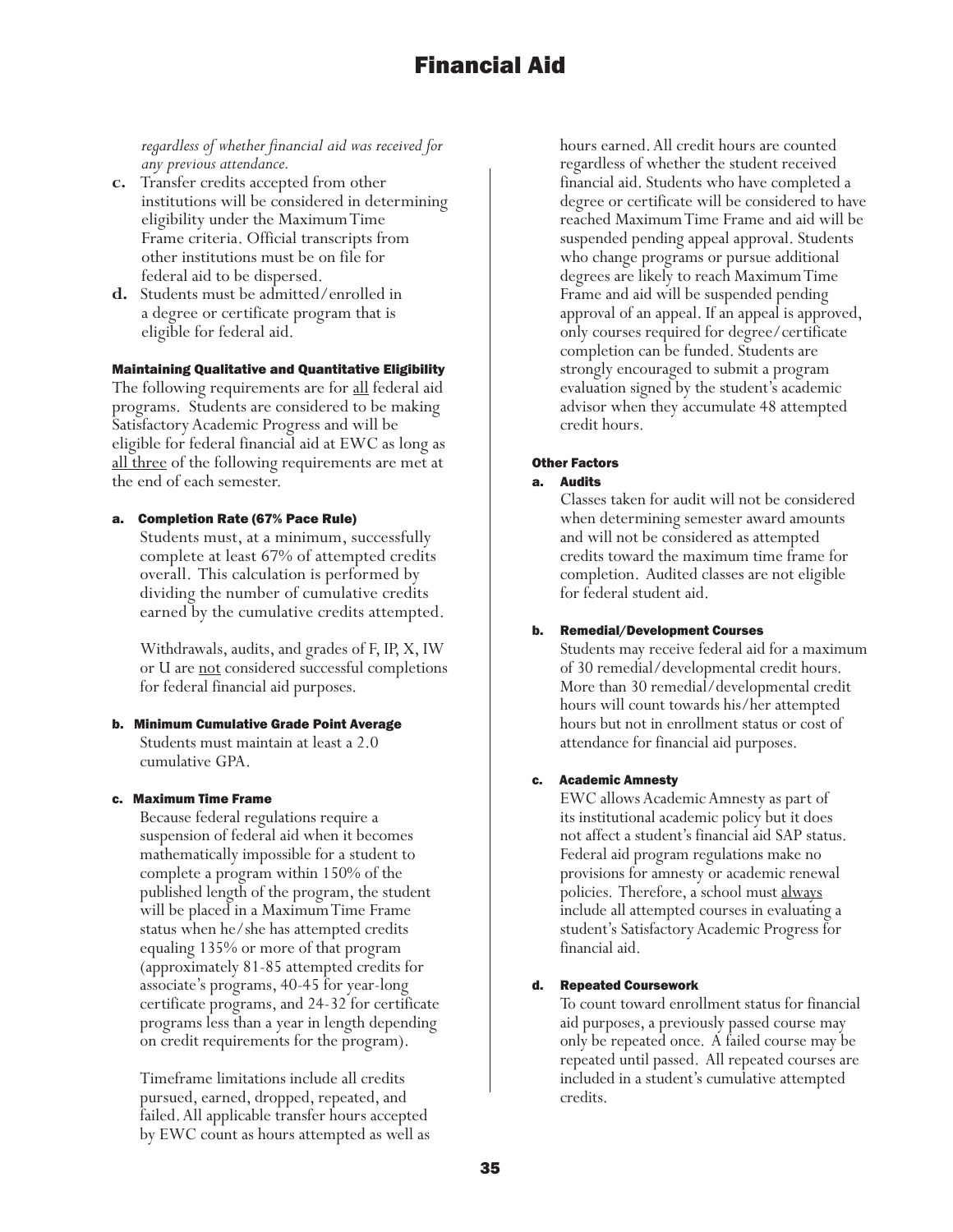*regardless of whether financial aid was received for any previous attendance.*

- **c.** Transfer credits accepted from other institutions will be considered in determining eligibility under the Maximum Time Frame criteria. Official transcripts from other institutions must be on file for federal aid to be dispersed.
- **d.** Students must be admitted/enrolled in a degree or certificate program that is eligible for federal aid.

#### Maintaining Qualitative and Quantitative Eligibility

The following requirements are for <u>all</u> federal aid programs. Students are considered to be making Satisfactory Academic Progress and will be eligible for federal financial aid at EWC as long as all three of the following requirements are met at the end of each semester.

#### a. Completion Rate (67% Pace Rule)

Students must, at a minimum, successfully complete at least 67% of attempted credits overall. This calculation is performed by dividing the number of cumulative credits earned by the cumulative credits attempted.

Withdrawals, audits, and grades of F, IP, X, IW or U are not considered successful completions for federal financial aid purposes.

b. Minimum Cumulative Grade Point Average Students must maintain at least a 2.0 cumulative GPA.

#### c. Maximum Time Frame

Because federal regulations require a suspension of federal aid when it becomes mathematically impossible for a student to complete a program within 150% of the published length of the program, the student will be placed in a Maximum Time Frame status when he/she has attempted credits equaling 135% or more of that program (approximately 81-85 attempted credits for associate's programs, 40-45 for year-long certificate programs, and 24-32 for certificate programs less than a year in length depending on credit requirements for the program).

Timeframe limitations include all credits pursued, earned, dropped, repeated, and failed. All applicable transfer hours accepted by EWC count as hours attempted as well as hours earned. All credit hours are counted regardless of whether the student received financial aid. Students who have completed a degree or certificate will be considered to have reached Maximum Time Frame and aid will be suspended pending appeal approval. Students who change programs or pursue additional degrees are likely to reach Maximum Time Frame and aid will be suspended pending approval of an appeal. If an appeal is approved, only courses required for degree/certificate completion can be funded. Students are strongly encouraged to submit a program evaluation signed by the student's academic advisor when they accumulate 48 attempted credit hours.

#### Other Factors

#### a. Audits

Classes taken for audit will not be considered when determining semester award amounts and will not be considered as attempted credits toward the maximum time frame for completion. Audited classes are not eligible for federal student aid.

#### b. Remedial/Development Courses

Students may receive federal aid for a maximum of 30 remedial/developmental credit hours. More than 30 remedial/developmental credit hours will count towards his/her attempted hours but not in enrollment status or cost of attendance for financial aid purposes.

#### c. Academic Amnesty

EWC allows Academic Amnesty as part of its institutional academic policy but it does not affect a student's financial aid SAP status. Federal aid program regulations make no provisions for amnesty or academic renewal policies. Therefore, a school must always include all attempted courses in evaluating a student's Satisfactory Academic Progress for financial aid.

#### d. Repeated Coursework

To count toward enrollment status for financial aid purposes, a previously passed course may only be repeated once. A failed course may be repeated until passed. All repeated courses are included in a student's cumulative attempted credits.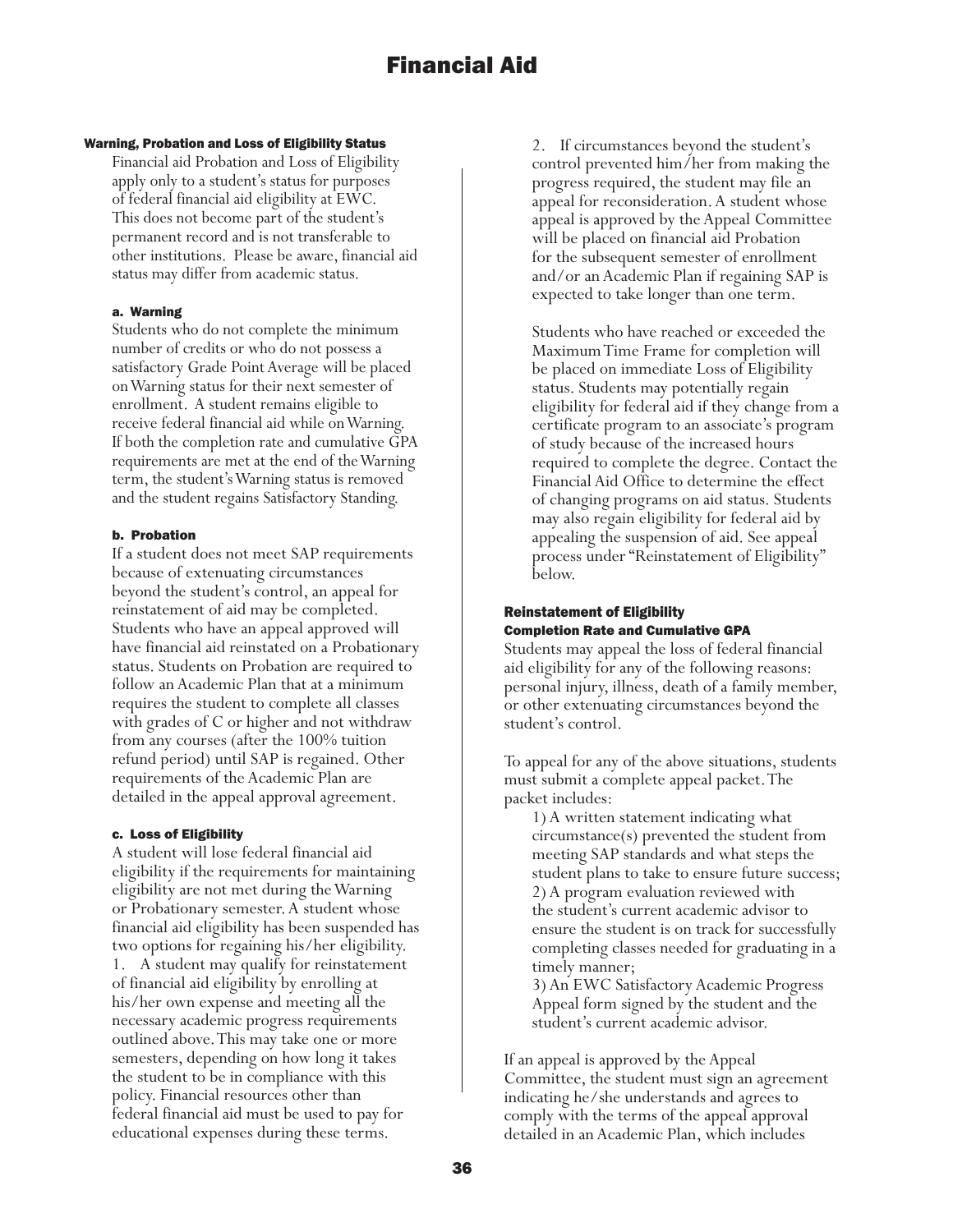#### Warning, Probation and Loss of Eligibility Status

Financial aid Probation and Loss of Eligibility apply only to a student's status for purposes of federal financial aid eligibility at EWC. This does not become part of the student's permanent record and is not transferable to other institutions. Please be aware, financial aid status may differ from academic status.

#### a. Warning

Students who do not complete the minimum number of credits or who do not possess a satisfactory Grade Point Average will be placed on Warning status for their next semester of enrollment. A student remains eligible to receive federal financial aid while on Warning. If both the completion rate and cumulative GPA requirements are met at the end of the Warning term, the student's Warning status is removed and the student regains Satisfactory Standing.

#### b. Probation

If a student does not meet SAP requirements because of extenuating circumstances beyond the student's control, an appeal for reinstatement of aid may be completed. Students who have an appeal approved will have financial aid reinstated on a Probationary status. Students on Probation are required to follow an Academic Plan that at a minimum requires the student to complete all classes with grades of C or higher and not withdraw from any courses (after the 100% tuition refund period) until SAP is regained. Other requirements of the Academic Plan are detailed in the appeal approval agreement.

#### c. Loss of Eligibility

A student will lose federal financial aid eligibility if the requirements for maintaining eligibility are not met during the Warning or Probationary semester. A student whose financial aid eligibility has been suspended has two options for regaining his/her eligibility. 1. A student may qualify for reinstatement of financial aid eligibility by enrolling at his/her own expense and meeting all the necessary academic progress requirements outlined above. This may take one or more semesters, depending on how long it takes the student to be in compliance with this policy. Financial resources other than federal financial aid must be used to pay for educational expenses during these terms.

2. If circumstances beyond the student's control prevented him/her from making the progress required, the student may file an appeal for reconsideration. A student whose appeal is approved by the Appeal Committee will be placed on financial aid Probation for the subsequent semester of enrollment and/or an Academic Plan if regaining SAP is expected to take longer than one term.

Students who have reached or exceeded the Maximum Time Frame for completion will be placed on immediate Loss of Eligibility status. Students may potentially regain eligibility for federal aid if they change from a certificate program to an associate's program of study because of the increased hours required to complete the degree. Contact the Financial Aid Office to determine the effect of changing programs on aid status. Students may also regain eligibility for federal aid by appealing the suspension of aid. See appeal process under "Reinstatement of Eligibility" below.

#### Reinstatement of Eligibility Completion Rate and Cumulative GPA

Students may appeal the loss of federal financial aid eligibility for any of the following reasons: personal injury, illness, death of a family member, or other extenuating circumstances beyond the student's control.

To appeal for any of the above situations, students must submit a complete appeal packet. The packet includes:

1) A written statement indicating what circumstance(s) prevented the student from meeting SAP standards and what steps the student plans to take to ensure future success; 2) A program evaluation reviewed with the student's current academic advisor to ensure the student is on track for successfully completing classes needed for graduating in a timely manner;

3) An EWC Satisfactory Academic Progress Appeal form signed by the student and the student's current academic advisor.

If an appeal is approved by the Appeal Committee, the student must sign an agreement indicating he/she understands and agrees to comply with the terms of the appeal approval detailed in an Academic Plan, which includes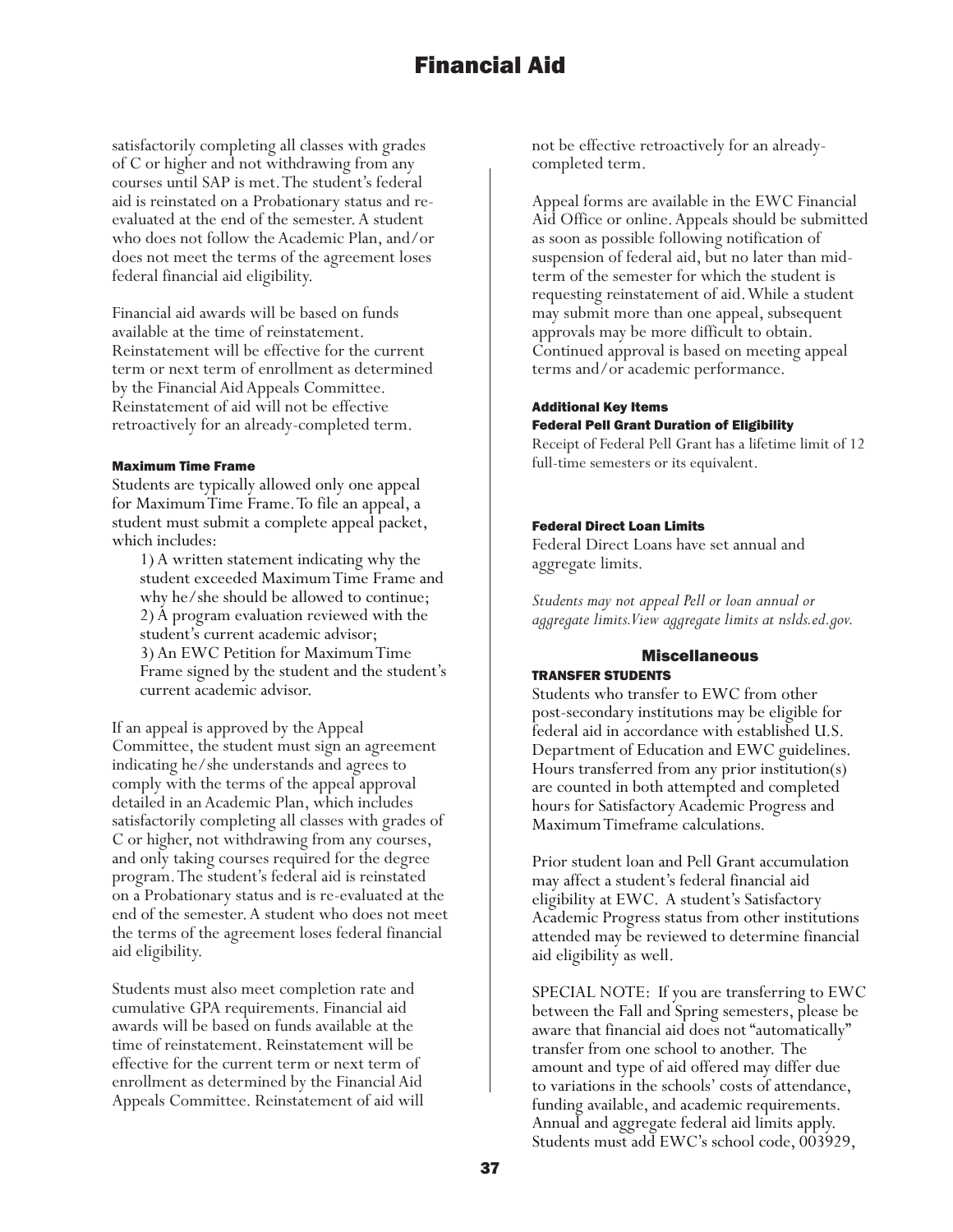satisfactorily completing all classes with grades of C or higher and not withdrawing from any courses until SAP is met. The student's federal aid is reinstated on a Probationary status and reevaluated at the end of the semester. A student who does not follow the Academic Plan, and/or does not meet the terms of the agreement loses federal financial aid eligibility.

Financial aid awards will be based on funds available at the time of reinstatement. Reinstatement will be effective for the current term or next term of enrollment as determined by the Financial Aid Appeals Committee. Reinstatement of aid will not be effective retroactively for an already-completed term.

#### Maximum Time Frame

Students are typically allowed only one appeal for Maximum Time Frame. To file an appeal, a student must submit a complete appeal packet, which includes:

1) A written statement indicating why the student exceeded Maximum Time Frame and why he/she should be allowed to continue; 2) A program evaluation reviewed with the student's current academic advisor; 3) An EWC Petition for Maximum Time Frame signed by the student and the student's current academic advisor.

If an appeal is approved by the Appeal Committee, the student must sign an agreement indicating he/she understands and agrees to comply with the terms of the appeal approval detailed in an Academic Plan, which includes satisfactorily completing all classes with grades of C or higher, not withdrawing from any courses, and only taking courses required for the degree program. The student's federal aid is reinstated on a Probationary status and is re-evaluated at the end of the semester. A student who does not meet the terms of the agreement loses federal financial aid eligibility.

Students must also meet completion rate and cumulative GPA requirements. Financial aid awards will be based on funds available at the time of reinstatement. Reinstatement will be effective for the current term or next term of enrollment as determined by the Financial Aid Appeals Committee. Reinstatement of aid will not be effective retroactively for an alreadycompleted term.

Appeal forms are available in the EWC Financial Aid Office or online. Appeals should be submitted as soon as possible following notification of suspension of federal aid, but no later than midterm of the semester for which the student is requesting reinstatement of aid. While a student may submit more than one appeal, subsequent approvals may be more difficult to obtain. Continued approval is based on meeting appeal terms and/or academic performance.

#### Additional Key Items Federal Pell Grant Duration of Eligibility

Receipt of Federal Pell Grant has a lifetime limit of 12 full-time semesters or its equivalent.

#### Federal Direct Loan Limits

Federal Direct Loans have set annual and aggregate limits.

*Students may not appeal Pell or loan annual or aggregate limits. View aggregate limits at nslds.ed.gov.*

## Miscellaneous

## TRANSFER STUDENTS

Students who transfer to EWC from other post-secondary institutions may be eligible for federal aid in accordance with established U.S. Department of Education and EWC guidelines. Hours transferred from any prior institution(s) are counted in both attempted and completed hours for Satisfactory Academic Progress and Maximum Timeframe calculations.

Prior student loan and Pell Grant accumulation may affect a student's federal financial aid eligibility at EWC. A student's Satisfactory Academic Progress status from other institutions attended may be reviewed to determine financial aid eligibility as well.

SPECIAL NOTE: If you are transferring to EWC between the Fall and Spring semesters, please be aware that financial aid does not "automatically" transfer from one school to another. The amount and type of aid offered may differ due to variations in the schools' costs of attendance, funding available, and academic requirements. Annual and aggregate federal aid limits apply. Students must add EWC's school code, 003929,